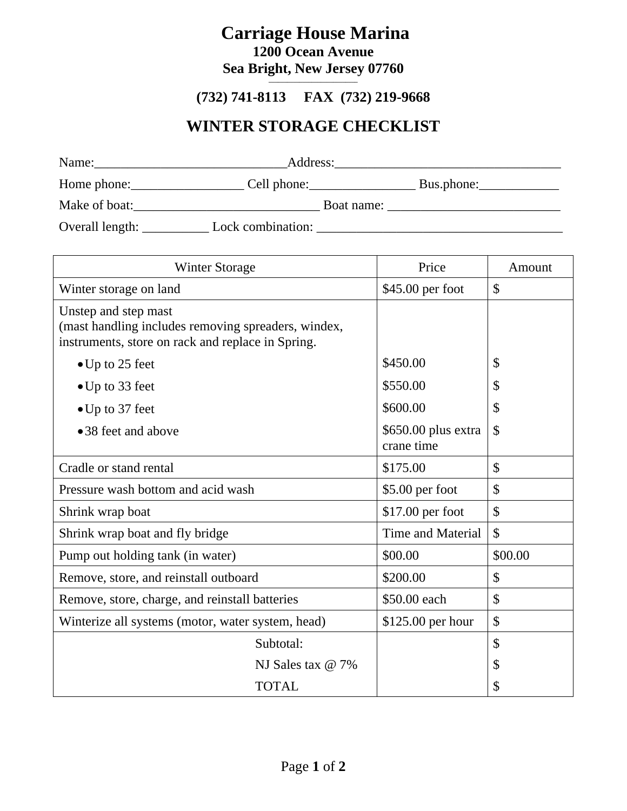# **Carriage House Marina**

**1200 Ocean Avenue Sea Bright, New Jersey 07760**

#### **\_\_\_\_\_\_\_\_\_\_\_\_\_\_\_\_\_\_\_\_\_\_\_\_\_\_\_\_\_ (732) 741-8113 FAX (732) 219-9668**

### **WINTER STORAGE CHECKLIST**

| Name:           | Address:          |            |
|-----------------|-------------------|------------|
| Home phone:     | Cell phone:       | Bus.phone: |
| Make of boat:   | Boat name:        |            |
| Overall length: | Lock combination: |            |

| <b>Winter Storage</b>                                                                                                            | Price                             | Amount        |
|----------------------------------------------------------------------------------------------------------------------------------|-----------------------------------|---------------|
| Winter storage on land                                                                                                           | \$45.00 per foot                  | $\mathcal{S}$ |
| Unstep and step mast<br>(mast handling includes removing spreaders, windex,<br>instruments, store on rack and replace in Spring. |                                   |               |
| $\bullet$ Up to 25 feet                                                                                                          | \$450.00                          | $\mathcal{S}$ |
| $\bullet$ Up to 33 feet                                                                                                          | \$550.00                          | $\mathcal{S}$ |
| $\bullet$ Up to 37 feet                                                                                                          | \$600.00                          | $\mathcal{S}$ |
| •38 feet and above                                                                                                               | \$650.00 plus extra<br>crane time | $\mathcal{S}$ |
| Cradle or stand rental                                                                                                           | \$175.00                          | $\mathcal{S}$ |
| Pressure wash bottom and acid wash                                                                                               | \$5.00 per foot                   | $\mathcal{S}$ |
| Shrink wrap boat                                                                                                                 | $$17.00$ per foot                 | $\mathcal{S}$ |
| Shrink wrap boat and fly bridge                                                                                                  | <b>Time and Material</b>          | $\mathbb{S}$  |
| Pump out holding tank (in water)                                                                                                 | \$00.00                           | \$00.00       |
| Remove, store, and reinstall outboard                                                                                            | \$200.00                          | $\mathcal{S}$ |
| Remove, store, charge, and reinstall batteries                                                                                   | \$50.00 each                      | $\mathcal{S}$ |
| Winterize all systems (motor, water system, head)                                                                                | \$125.00 per hour                 | $\mathcal{S}$ |
| Subtotal:                                                                                                                        |                                   | $\mathcal{S}$ |
| NJ Sales tax @ 7%                                                                                                                |                                   | $\mathcal{S}$ |
| <b>TOTAL</b>                                                                                                                     |                                   | \$            |